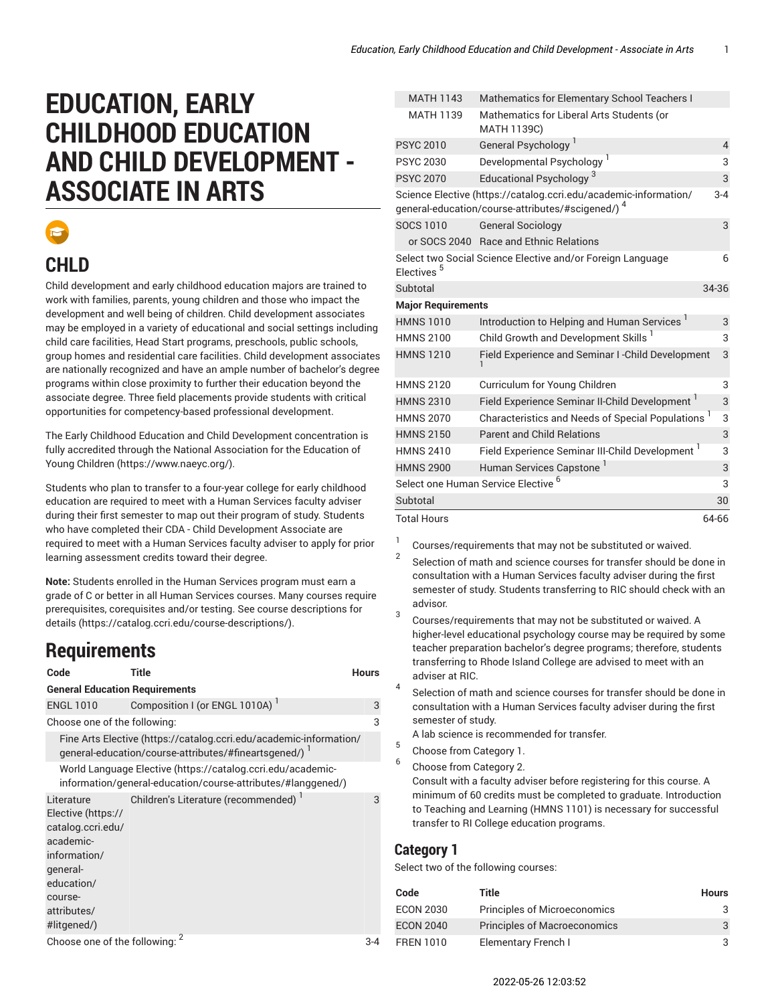# **EDUCATION, EARLY CHILDHOOD EDUCATION AND CHILD DEVELOPMENT - ASSOCIATE IN ARTS**



## **CHLD**

Child development and early childhood education majors are trained to work with families, parents, young children and those who impact the development and well being of children. Child development associates may be employed in a variety of educational and social settings including child care facilities, Head Start programs, preschools, public schools, group homes and residential care facilities. Child development associates are nationally recognized and have an ample number of bachelor's degree programs within close proximity to further their education beyond the associate degree. Three field placements provide students with critical opportunities for competency-based professional development.

The Early Childhood Education and Child Development concentration is fully accredited through the National [Association](https://www.naeyc.org/) for the Education of Young [Children](https://www.naeyc.org/) [\(https://www.naeyc.org/\)](https://www.naeyc.org/).

Students who plan to transfer to a four-year college for early childhood education are required to meet with a Human Services faculty adviser during their first semester to map out their program of study. Students who have completed their CDA - Child Development Associate are required to meet with a Human Services faculty adviser to apply for prior learning assessment credits toward their degree.

**Note:** Students enrolled in the Human Services program must earn a grade of C or better in all Human Services courses. Many courses require prerequisites, corequisites and/or testing. [See course descriptions for](https://catalog.ccri.edu/course-descriptions/) [details](https://catalog.ccri.edu/course-descriptions/) ([https://catalog.ccri.edu/course-descriptions/\)](https://catalog.ccri.edu/course-descriptions/).

### **Requirements**

| Code                                                                                                                                                  | Title                                                                                                                        | <b>Hours</b> |
|-------------------------------------------------------------------------------------------------------------------------------------------------------|------------------------------------------------------------------------------------------------------------------------------|--------------|
| <b>General Education Requirements</b>                                                                                                                 |                                                                                                                              |              |
| <b>ENGL 1010</b>                                                                                                                                      | Composition I (or ENGL 1010A) <sup>1</sup>                                                                                   | 3            |
| Choose one of the following:                                                                                                                          |                                                                                                                              | 3            |
|                                                                                                                                                       | Fine Arts Elective (https://catalog.ccri.edu/academic-information/<br>general-education/course-attributes/#fineartsgened/) 1 |              |
|                                                                                                                                                       | World Language Elective (https://catalog.ccri.edu/academic-<br>information/general-education/course-attributes/#langgened/)  |              |
| Literature<br>Elective (https://<br>catalog.ccri.edu/<br>academic-<br>information/<br>qeneral-<br>education/<br>course-<br>attributes/<br>#litgened/) | Children's Literature (recommended) <sup>1</sup>                                                                             | 3            |
| Choose one of the following:                                                                                                                          |                                                                                                                              | 3-4          |

| <b>MATH 1143</b>          | Mathematics for Elementary School Teachers I                                                                                     |                |
|---------------------------|----------------------------------------------------------------------------------------------------------------------------------|----------------|
| <b>MATH 1139</b>          | Mathematics for Liberal Arts Students (or<br>MATH 1139C)                                                                         |                |
| <b>PSYC 2010</b>          | General Psychology <sup>1</sup>                                                                                                  | $\overline{4}$ |
| <b>PSYC 2030</b>          | Developmental Psychology <sup>1</sup>                                                                                            | 3              |
| <b>PSYC 2070</b>          | Educational Psychology <sup>3</sup>                                                                                              | 3              |
|                           | Science Elective (https://catalog.ccri.edu/academic-information/<br>general-education/course-attributes/#scigened/) <sup>4</sup> | $3 - 4$        |
| SOCS 1010                 | <b>General Sociology</b>                                                                                                         | 3              |
|                           | or SOCS 2040 Race and Ethnic Relations                                                                                           |                |
| Electives <sup>5</sup>    | Select two Social Science Elective and/or Foreign Language                                                                       | 6              |
| Subtotal                  |                                                                                                                                  | 34-36          |
| <b>Major Requirements</b> |                                                                                                                                  |                |
| <b>HMNS 1010</b>          | Introduction to Helping and Human Services <sup>1</sup>                                                                          | 3              |
| <b>HMNS 2100</b>          | Child Growth and Development Skills <sup>1</sup>                                                                                 | 3              |
| <b>HMNS 1210</b>          | Field Experience and Seminar I-Child Development                                                                                 | 3              |
| <b>HMNS 2120</b>          | Curriculum for Young Children                                                                                                    | 3              |
| <b>HMNS 2310</b>          | Field Experience Seminar II-Child Development                                                                                    | 3              |
| <b>HMNS 2070</b>          | Characteristics and Needs of Special Populations <sup>1</sup>                                                                    | 3              |
| <b>HMNS 2150</b>          | <b>Parent and Child Relations</b>                                                                                                | 3              |
| <b>HMNS 2410</b>          | Field Experience Seminar III-Child Development <sup>1</sup>                                                                      | 3              |
| <b>HMNS 2900</b>          | Human Services Capstone <sup>1</sup>                                                                                             | 3              |
|                           | Select one Human Service Elective <sup>6</sup>                                                                                   | 3              |
| Subtotal                  |                                                                                                                                  | 30             |
| <b>Total Hours</b>        |                                                                                                                                  | 64-66          |

1 Courses/requirements that may not be substituted or waived.

- $\overline{2}$ Selection of math and science courses for transfer should be done in consultation with a Human Services faculty adviser during the first semester of study. Students transferring to RIC should check with an advisor.
- 3 Courses/requirements that may not be substituted or waived. A higher-level educational psychology course may be required by some teacher preparation bachelor's degree programs; therefore, students transferring to Rhode Island College are advised to meet with an adviser at RIC.
- 4 Selection of math and science courses for transfer should be done in consultation with a Human Services faculty adviser during the first semester of study.

A lab science is recommended for transfer.

- 5 Choose from Category 1.
- 6 Choose from Category 2.

Consult with a faculty adviser before registering for this course. A minimum of 60 credits must be completed to graduate. Introduction to Teaching and Learning (HMNS 1101) is necessary for successful transfer to RI College education programs.

#### **Category 1**

Select two of the following courses:

| Code             | Title                               | <b>Hours</b> |
|------------------|-------------------------------------|--------------|
| <b>ECON 2030</b> | Principles of Microeconomics        | 3            |
| <b>ECON 2040</b> | <b>Principles of Macroeconomics</b> | 3            |
| <b>FREN 1010</b> | Elementary French I                 | २            |

2022-05-26 12:03:52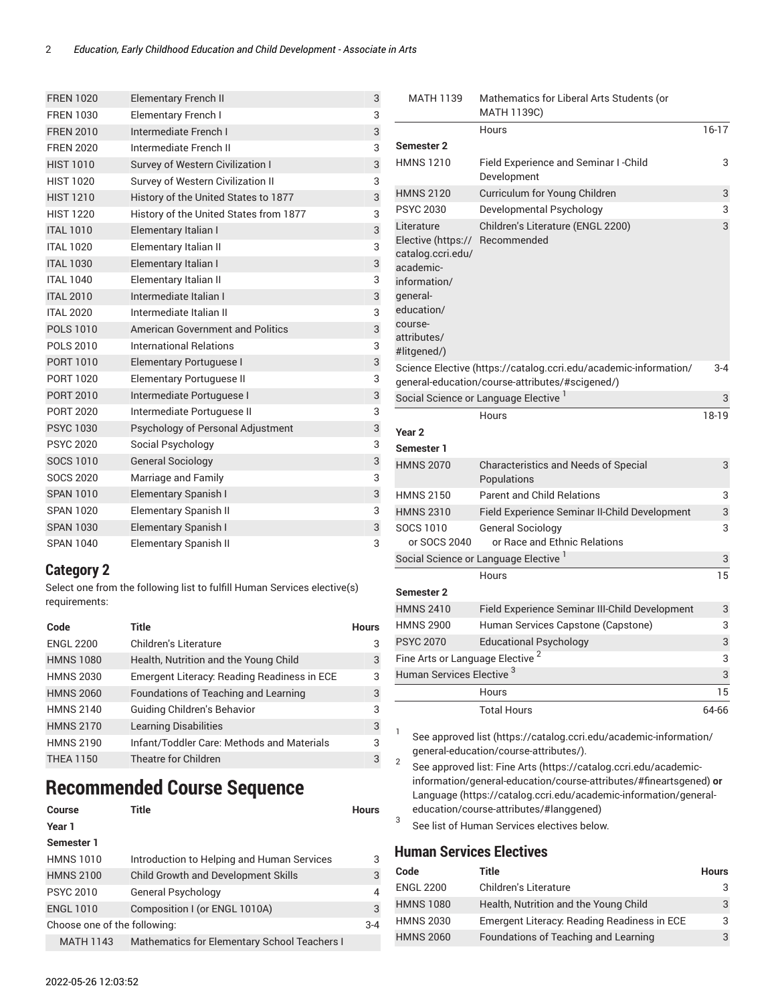| <b>FREN 1020</b> | <b>Elementary French II</b>            | 3 |
|------------------|----------------------------------------|---|
| <b>FREN 1030</b> | Elementary French I                    | 3 |
| <b>FREN 2010</b> | Intermediate French I                  | 3 |
| <b>FREN 2020</b> | Intermediate French II                 | 3 |
| <b>HIST 1010</b> | Survey of Western Civilization I       | 3 |
| <b>HIST 1020</b> | Survey of Western Civilization II      | 3 |
| <b>HIST 1210</b> | History of the United States to 1877   | 3 |
| <b>HIST 1220</b> | History of the United States from 1877 | 3 |
| <b>ITAL 1010</b> | Elementary Italian I                   | 3 |
| <b>ITAL 1020</b> | Elementary Italian II                  | 3 |
| <b>ITAL 1030</b> | Elementary Italian I                   | 3 |
| <b>ITAL 1040</b> | Elementary Italian II                  | 3 |
| <b>ITAL 2010</b> | Intermediate Italian I                 | 3 |
| <b>ITAL 2020</b> | Intermediate Italian II                | 3 |
| <b>POLS 1010</b> | American Government and Politics       | 3 |
| <b>POLS 2010</b> | <b>International Relations</b>         | 3 |
| PORT 1010        | <b>Elementary Portuguese I</b>         | 3 |
| PORT 1020        | Elementary Portuguese II               | 3 |
| <b>PORT 2010</b> | Intermediate Portuguese I              | 3 |
| <b>PORT 2020</b> | Intermediate Portuguese II             | 3 |
| <b>PSYC 1030</b> | Psychology of Personal Adjustment      | 3 |
| <b>PSYC 2020</b> | Social Psychology                      | 3 |
| <b>SOCS 1010</b> | <b>General Sociology</b>               | 3 |
| <b>SOCS 2020</b> | Marriage and Family                    | 3 |
| <b>SPAN 1010</b> | Elementary Spanish I                   | 3 |
| <b>SPAN 1020</b> | <b>Elementary Spanish II</b>           | 3 |
| <b>SPAN 1030</b> | Elementary Spanish I                   | 3 |
| <b>SPAN 1040</b> | <b>Elementary Spanish II</b>           | 3 |

#### **Category 2**

Select one from the following list to fulfill Human Services elective(s) requirements:

| Code             | Title                                       | <b>Hours</b> |
|------------------|---------------------------------------------|--------------|
| <b>ENGL 2200</b> | Children's Literature                       | 3            |
| <b>HMNS 1080</b> | Health, Nutrition and the Young Child       | 3            |
| <b>HMNS 2030</b> | Emergent Literacy: Reading Readiness in ECE | 3            |
| <b>HMNS 2060</b> | Foundations of Teaching and Learning        | 3            |
| <b>HMNS 2140</b> | Guiding Children's Behavior                 | 3            |
| <b>HMNS 2170</b> | <b>Learning Disabilities</b>                | 3            |
| <b>HMNS 2190</b> | Infant/Toddler Care: Methods and Materials  | 3            |
| <b>THEA 1150</b> | <b>Theatre for Children</b>                 | 3            |

### **Recommended Course Sequence**

| Course                       | Title                                        | <b>Hours</b> |
|------------------------------|----------------------------------------------|--------------|
| Year 1                       |                                              |              |
| Semester 1                   |                                              |              |
| <b>HMNS 1010</b>             | Introduction to Helping and Human Services   | 3            |
| <b>HMNS 2100</b>             | <b>Child Growth and Development Skills</b>   | 3            |
| <b>PSYC 2010</b>             | General Psychology                           | 4            |
| <b>ENGL 1010</b>             | Composition I (or ENGL 1010A)                | 3            |
| Choose one of the following: |                                              | $3 - 4$      |
| <b>MATH 1143</b>             | Mathematics for Elementary School Teachers I |              |

| <b>MATH 1139</b>                                                                                                                                      | Mathematics for Liberal Arts Students (or<br>MATH 1139C)                                                            |         |
|-------------------------------------------------------------------------------------------------------------------------------------------------------|---------------------------------------------------------------------------------------------------------------------|---------|
|                                                                                                                                                       | Hours                                                                                                               | $16-17$ |
| <b>Semester 2</b>                                                                                                                                     |                                                                                                                     |         |
| <b>HMNS 1210</b>                                                                                                                                      | Field Experience and Seminar I - Child<br>Development                                                               | 3       |
| <b>HMNS 2120</b>                                                                                                                                      | Curriculum for Young Children                                                                                       | 3       |
| <b>PSYC 2030</b>                                                                                                                                      | Developmental Psychology                                                                                            | 3       |
| Literature<br>Elective (https://<br>catalog.ccri.edu/<br>academic-<br>information/<br>qeneral-<br>education/<br>course-<br>attributes/<br>#litgened/) | Children's Literature (ENGL 2200)<br>Recommended                                                                    | 3       |
|                                                                                                                                                       | Science Elective (https://catalog.ccri.edu/academic-information/<br>general-education/course-attributes/#scigened/) | $3 - 4$ |
|                                                                                                                                                       | Social Science or Language Elective 1                                                                               | 3       |
|                                                                                                                                                       | Hours                                                                                                               | 18-19   |
| Year <sub>2</sub>                                                                                                                                     |                                                                                                                     |         |
| Semester 1                                                                                                                                            |                                                                                                                     |         |
| <b>HMNS 2070</b>                                                                                                                                      | <b>Characteristics and Needs of Special</b><br>Populations                                                          | 3       |
| <b>HMNS 2150</b>                                                                                                                                      | <b>Parent and Child Relations</b>                                                                                   | 3       |
| <b>HMNS 2310</b>                                                                                                                                      | Field Experience Seminar II-Child Development                                                                       | 3       |
| SOCS 1010<br>or SOCS 2040                                                                                                                             | <b>General Sociology</b><br>or Race and Ethnic Relations                                                            | 3       |
|                                                                                                                                                       | Social Science or Language Elective <sup>1</sup>                                                                    | 3       |
|                                                                                                                                                       | Hours                                                                                                               | 15      |
| Semester 2                                                                                                                                            |                                                                                                                     |         |
| <b>HMNS 2410</b>                                                                                                                                      | Field Experience Seminar III-Child Development                                                                      | 3       |
| <b>HMNS 2900</b>                                                                                                                                      | Human Services Capstone (Capstone)                                                                                  | 3       |
| <b>PSYC 2070</b>                                                                                                                                      | <b>Educational Psychology</b>                                                                                       | 3       |
| Fine Arts or Language Elective <sup>2</sup>                                                                                                           |                                                                                                                     | 3       |
| Human Services Elective <sup>3</sup>                                                                                                                  |                                                                                                                     | 3       |
|                                                                                                                                                       | Hours                                                                                                               | 15      |
|                                                                                                                                                       | <b>Total Hours</b>                                                                                                  | 64-66   |

1 See [approved](https://catalog.ccri.edu/academic-information/general-education/course-attributes/) list ([https://catalog.ccri.edu/academic-information/](https://catalog.ccri.edu/academic-information/general-education/course-attributes/) [general-education/course-attributes/](https://catalog.ccri.edu/academic-information/general-education/course-attributes/)).

2 See approved list: [Fine](https://catalog.ccri.edu/academic-information/general-education/course-attributes/#fineartsgened) Arts [\(https://catalog.ccri.edu/academic](https://catalog.ccri.edu/academic-information/general-education/course-attributes/#fineartsgened)[information/general-education/course-attributes/#fineartsgened](https://catalog.ccri.edu/academic-information/general-education/course-attributes/#fineartsgened)) **or** [Language](https://catalog.ccri.edu/academic-information/general-education/course-attributes/#langgened) ([https://catalog.ccri.edu/academic-information/general](https://catalog.ccri.edu/academic-information/general-education/course-attributes/#langgened)[education/course-attributes/#langgened](https://catalog.ccri.edu/academic-information/general-education/course-attributes/#langgened))

3 See list of Human Services electives below.

### **Human Services Electives**

| Code             | Title                                       | <b>Hours</b> |
|------------------|---------------------------------------------|--------------|
| <b>ENGL 2200</b> | Children's Literature                       |              |
| <b>HMNS 1080</b> | Health, Nutrition and the Young Child       | 3            |
| <b>HMNS 2030</b> | Emergent Literacy: Reading Readiness in ECE | 3            |
| <b>HMNS 2060</b> | Foundations of Teaching and Learning        | 3            |